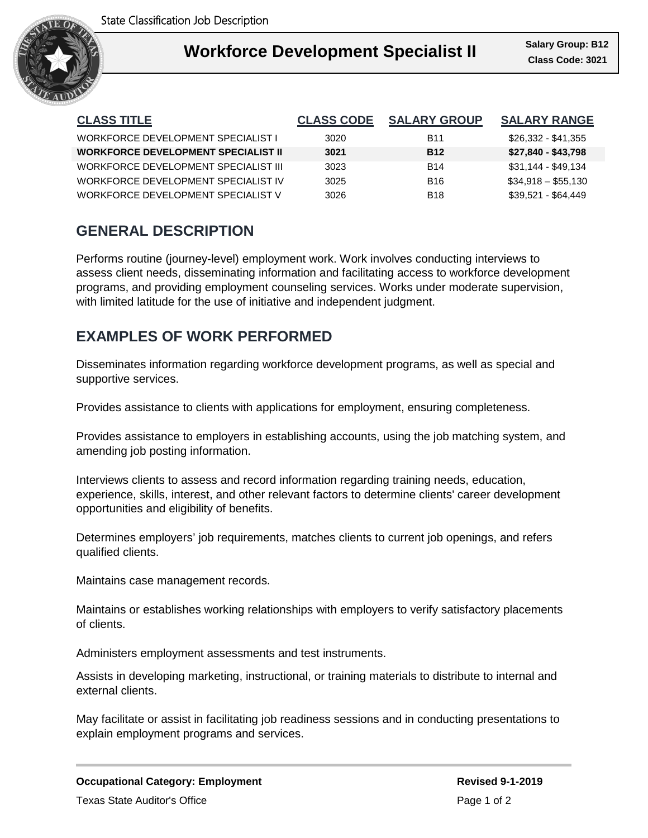

| <b>CLASS TITLE</b>                         | <b>CLASS CODE</b> | <b>SALARY GROUP</b> | <b>SALARY RANGE</b> |
|--------------------------------------------|-------------------|---------------------|---------------------|
| WORKFORCE DEVELOPMENT SPECIALIST L         | 3020              | <b>B11</b>          | \$26.332 - \$41.355 |
| <b>WORKFORCE DEVELOPMENT SPECIALIST II</b> | 3021              | <b>B12</b>          | \$27,840 - \$43,798 |
| WORKFORCE DEVELOPMENT SPECIAL IST III      | 3023              | <b>B14</b>          | \$31,144 - \$49,134 |
| WORKFORCE DEVELOPMENT SPECIALIST IV        | 3025              | B <sub>16</sub>     | $$34.918 - $55.130$ |
| WORKFORCE DEVELOPMENT SPECIALIST V         | 3026              | <b>B18</b>          | \$39.521 - \$64.449 |

# **GENERAL DESCRIPTION**

Performs routine (journey-level) employment work. Work involves conducting interviews to assess client needs, disseminating information and facilitating access to workforce development programs, and providing employment counseling services. Works under moderate supervision, with limited latitude for the use of initiative and independent judgment.

# **EXAMPLES OF WORK PERFORMED**

Disseminates information regarding workforce development programs, as well as special and supportive services.

Provides assistance to clients with applications for employment, ensuring completeness.

Provides assistance to employers in establishing accounts, using the job matching system, and amending job posting information.

Interviews clients to assess and record information regarding training needs, education, experience, skills, interest, and other relevant factors to determine clients' career development opportunities and eligibility of benefits.

Determines employers' job requirements, matches clients to current job openings, and refers qualified clients.

Maintains case management records.

Maintains or establishes working relationships with employers to verify satisfactory placements of clients.

Administers employment assessments and test instruments.

Assists in developing marketing, instructional, or training materials to distribute to internal and external clients.

May facilitate or assist in facilitating job readiness sessions and in conducting presentations to explain employment programs and services.